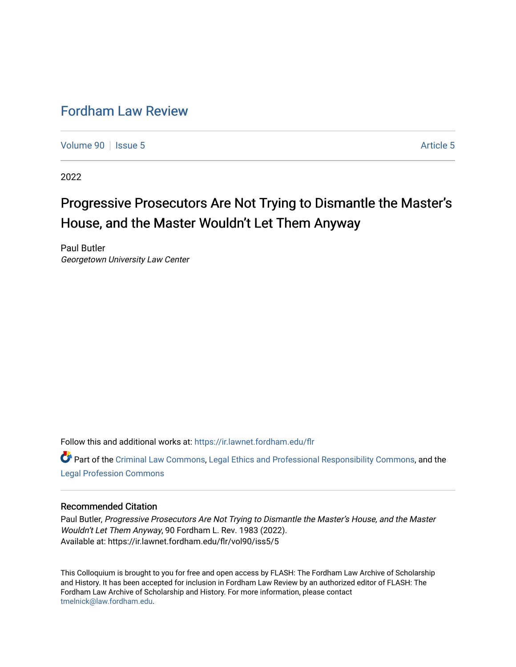## [Fordham Law Review](https://ir.lawnet.fordham.edu/flr)

[Volume 90](https://ir.lawnet.fordham.edu/flr/vol90) | [Issue 5](https://ir.lawnet.fordham.edu/flr/vol90/iss5) Article 5

2022

# Progressive Prosecutors Are Not Trying to Dismantle the Master's House, and the Master Wouldn't Let Them Anyway

Paul Butler Georgetown University Law Center

Follow this and additional works at: [https://ir.lawnet.fordham.edu/flr](https://ir.lawnet.fordham.edu/flr?utm_source=ir.lawnet.fordham.edu%2Fflr%2Fvol90%2Fiss5%2F5&utm_medium=PDF&utm_campaign=PDFCoverPages)

Part of the [Criminal Law Commons,](http://network.bepress.com/hgg/discipline/912?utm_source=ir.lawnet.fordham.edu%2Fflr%2Fvol90%2Fiss5%2F5&utm_medium=PDF&utm_campaign=PDFCoverPages) [Legal Ethics and Professional Responsibility Commons](http://network.bepress.com/hgg/discipline/895?utm_source=ir.lawnet.fordham.edu%2Fflr%2Fvol90%2Fiss5%2F5&utm_medium=PDF&utm_campaign=PDFCoverPages), and the [Legal Profession Commons](http://network.bepress.com/hgg/discipline/1075?utm_source=ir.lawnet.fordham.edu%2Fflr%2Fvol90%2Fiss5%2F5&utm_medium=PDF&utm_campaign=PDFCoverPages)

### Recommended Citation

Paul Butler, Progressive Prosecutors Are Not Trying to Dismantle the Master's House, and the Master Wouldn't Let Them Anyway, 90 Fordham L. Rev. 1983 (2022). Available at: https://ir.lawnet.fordham.edu/flr/vol90/iss5/5

This Colloquium is brought to you for free and open access by FLASH: The Fordham Law Archive of Scholarship and History. It has been accepted for inclusion in Fordham Law Review by an authorized editor of FLASH: The Fordham Law Archive of Scholarship and History. For more information, please contact [tmelnick@law.fordham.edu](mailto:tmelnick@law.fordham.edu).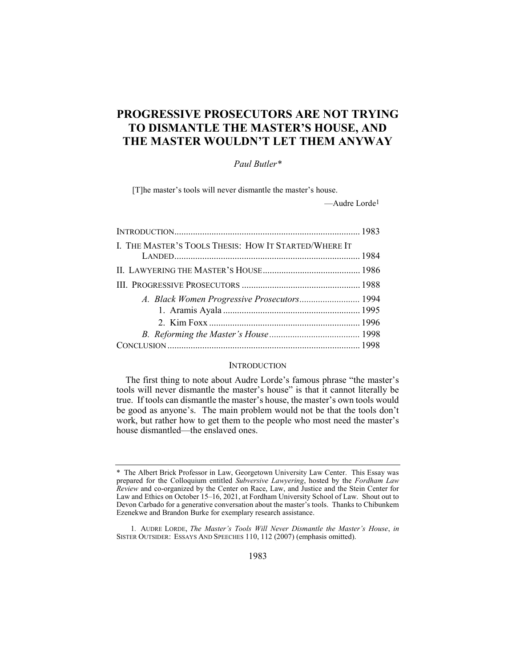## PROGRESSIVE PROSECUTORS ARE NOT TRYING TO DISMANTLE THE MASTER'S HOUSE, AND THE MASTER WOULDN'T LET THEM ANYWAY

#### Paul Butler\*

[T]he master's tools will never dismantle the master's house.

—Audre Lorde1

| I. THE MASTER'S TOOLS THESIS: HOW IT STARTED/WHERE IT |  |
|-------------------------------------------------------|--|
|                                                       |  |
|                                                       |  |
|                                                       |  |
|                                                       |  |

#### **INTRODUCTION**

The first thing to note about Audre Lorde's famous phrase "the master's tools will never dismantle the master's house" is that it cannot literally be true. If tools can dismantle the master's house, the master's own tools would be good as anyone's. The main problem would not be that the tools don't work, but rather how to get them to the people who most need the master's house dismantled—the enslaved ones.

<sup>\*</sup> The Albert Brick Professor in Law, Georgetown University Law Center. This Essay was prepared for the Colloquium entitled Subversive Lawyering, hosted by the Fordham Law Review and co-organized by the Center on Race, Law, and Justice and the Stein Center for Law and Ethics on October 15–16, 2021, at Fordham University School of Law. Shout out to Devon Carbado for a generative conversation about the master's tools. Thanks to Chibunkem Ezenekwe and Brandon Burke for exemplary research assistance.

<sup>1</sup>. AUDRE LORDE, The Master's Tools Will Never Dismantle the Master's House, in SISTER OUTSIDER: ESSAYS AND SPEECHES 110, 112 (2007) (emphasis omitted).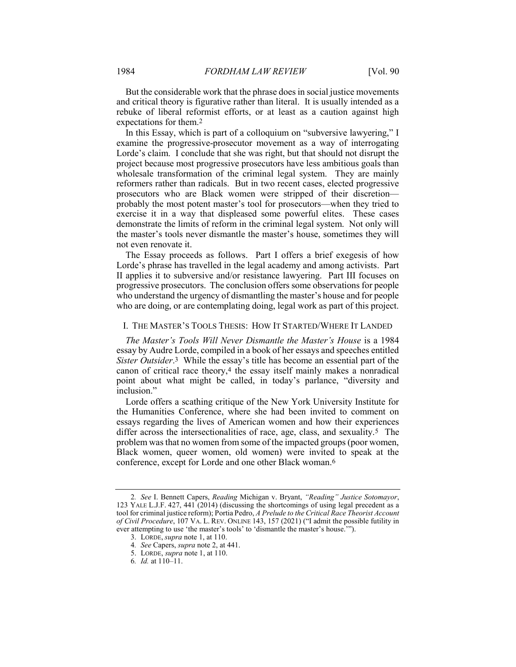But the considerable work that the phrase does in social justice movements and critical theory is figurative rather than literal. It is usually intended as a rebuke of liberal reformist efforts, or at least as a caution against high expectations for them.2

In this Essay, which is part of a colloquium on "subversive lawyering," I examine the progressive-prosecutor movement as a way of interrogating Lorde's claim. I conclude that she was right, but that should not disrupt the project because most progressive prosecutors have less ambitious goals than wholesale transformation of the criminal legal system. They are mainly reformers rather than radicals. But in two recent cases, elected progressive prosecutors who are Black women were stripped of their discretion probably the most potent master's tool for prosecutors—when they tried to exercise it in a way that displeased some powerful elites. These cases demonstrate the limits of reform in the criminal legal system. Not only will the master's tools never dismantle the master's house, sometimes they will not even renovate it.

The Essay proceeds as follows. Part I offers a brief exegesis of how Lorde's phrase has travelled in the legal academy and among activists. Part II applies it to subversive and/or resistance lawyering. Part III focuses on progressive prosecutors. The conclusion offers some observations for people who understand the urgency of dismantling the master's house and for people who are doing, or are contemplating doing, legal work as part of this project.

#### I. THE MASTER'S TOOLS THESIS: HOW IT STARTED/WHERE IT LANDED

The Master's Tools Will Never Dismantle the Master's House is a 1984 essay by Audre Lorde, compiled in a book of her essays and speeches entitled Sister Outsider.<sup>3</sup> While the essay's title has become an essential part of the canon of critical race theory,4 the essay itself mainly makes a nonradical point about what might be called, in today's parlance, "diversity and inclusion."

Lorde offers a scathing critique of the New York University Institute for the Humanities Conference, where she had been invited to comment on essays regarding the lives of American women and how their experiences differ across the intersectionalities of race, age, class, and sexuality.<sup>5</sup> The problem was that no women from some of the impacted groups (poor women, Black women, queer women, old women) were invited to speak at the conference, except for Lorde and one other Black woman.6

<sup>2</sup>. See I. Bennett Capers, Reading Michigan v. Bryant, "Reading" Justice Sotomayor, 123 YALE L.J.F. 427, 441 (2014) (discussing the shortcomings of using legal precedent as a tool for criminal justice reform); Portia Pedro, A Prelude to the Critical Race Theorist Account of Civil Procedure, 107 VA. L. REV. ONLINE 143, 157 (2021) ("I admit the possible futility in ever attempting to use 'the master's tools' to 'dismantle the master's house.'

 <sup>3.</sup> LORDE, supra note 1, at 110.

<sup>4.</sup> See Capers, *supra* note 2, at 441.

 <sup>5.</sup> LORDE, supra note 1, at 110.

<sup>6</sup>. Id. at 110–11.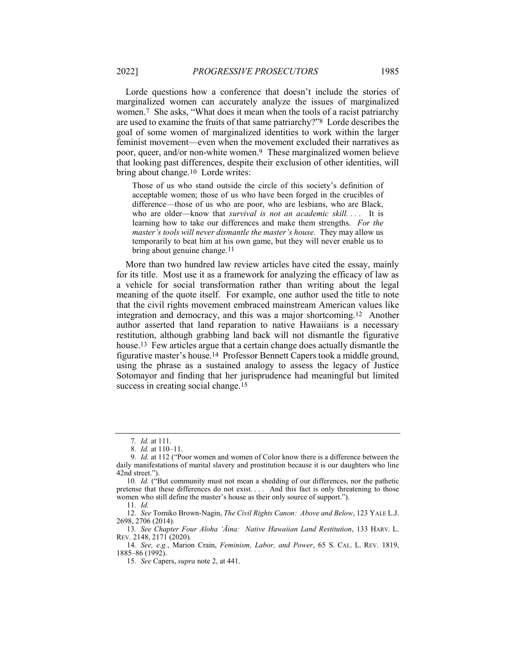Lorde questions how a conference that doesn't include the stories of marginalized women can accurately analyze the issues of marginalized women.7 She asks, "What does it mean when the tools of a racist patriarchy are used to examine the fruits of that same patriarchy?"8 Lorde describes the goal of some women of marginalized identities to work within the larger feminist movement—even when the movement excluded their narratives as poor, queer, and/or non-white women.9 These marginalized women believe that looking past differences, despite their exclusion of other identities, will bring about change.10 Lorde writes:

Those of us who stand outside the circle of this society's definition of acceptable women; those of us who have been forged in the crucibles of difference—those of us who are poor, who are lesbians, who are Black, who are older—know that survival is not an academic skill.... It is learning how to take our differences and make them strengths. For the master's tools will never dismantle the master's house. They may allow us temporarily to beat him at his own game, but they will never enable us to bring about genuine change.<sup>11</sup>

More than two hundred law review articles have cited the essay, mainly for its title. Most use it as a framework for analyzing the efficacy of law as a vehicle for social transformation rather than writing about the legal meaning of the quote itself. For example, one author used the title to note that the civil rights movement embraced mainstream American values like integration and democracy, and this was a major shortcoming.12 Another author asserted that land reparation to native Hawaiians is a necessary restitution, although grabbing land back will not dismantle the figurative house.13 Few articles argue that a certain change does actually dismantle the figurative master's house.14 Professor Bennett Capers took a middle ground, using the phrase as a sustained analogy to assess the legacy of Justice Sotomayor and finding that her jurisprudence had meaningful but limited success in creating social change.<sup>15</sup>

12. See Tomiko Brown-Nagin, The Civil Rights Canon: Above and Below, 123 YALE L.J. 2698, 2706 (2014).

13. See Chapter Four Aloha 'Āina: Native Hawaiian Land Restitution, 133 HARV. L. REV. 2148, 2171 (2020).

14. See, e.g., Marion Crain, Feminism, Labor, and Power, 65 S. CAL. L. REV. 1819, 1885–86 (1992).

<sup>7</sup>. Id. at 111.

<sup>8</sup>. Id. at 110–11.

<sup>9</sup>. Id. at 112 ("Poor women and women of Color know there is a difference between the daily manifestations of marital slavery and prostitution because it is our daughters who line 42nd street.").

<sup>10.</sup> Id. ("But community must not mean a shedding of our differences, nor the pathetic pretense that these differences do not exist. . . . And this fact is only threatening to those women who still define the master's house as their only source of support.").

<sup>11</sup>. Id.

<sup>15</sup>. See Capers, supra note 2, at 441.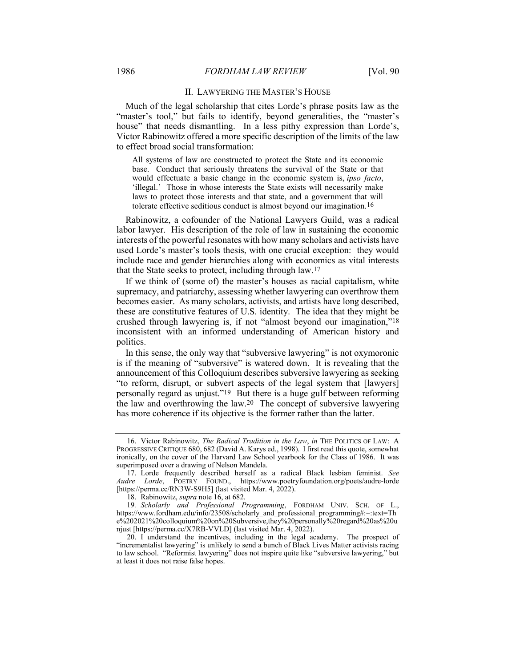#### II. LAWYERING THE MASTER'S HOUSE

Much of the legal scholarship that cites Lorde's phrase posits law as the "master's tool," but fails to identify, beyond generalities, the "master's house" that needs dismantling. In a less pithy expression than Lorde's, Victor Rabinowitz offered a more specific description of the limits of the law to effect broad social transformation:

All systems of law are constructed to protect the State and its economic base. Conduct that seriously threatens the survival of the State or that would effectuate a basic change in the economic system is, ipso facto, 'illegal.' Those in whose interests the State exists will necessarily make laws to protect those interests and that state, and a government that will tolerate effective seditious conduct is almost beyond our imagination.16

Rabinowitz, a cofounder of the National Lawyers Guild, was a radical labor lawyer. His description of the role of law in sustaining the economic interests of the powerful resonates with how many scholars and activists have used Lorde's master's tools thesis, with one crucial exception: they would include race and gender hierarchies along with economics as vital interests that the State seeks to protect, including through law.17

If we think of (some of) the master's houses as racial capitalism, white supremacy, and patriarchy, assessing whether lawyering can overthrow them becomes easier. As many scholars, activists, and artists have long described, these are constitutive features of U.S. identity. The idea that they might be crushed through lawyering is, if not "almost beyond our imagination,"18 inconsistent with an informed understanding of American history and politics.

In this sense, the only way that "subversive lawyering" is not oxymoronic is if the meaning of "subversive" is watered down. It is revealing that the announcement of this Colloquium describes subversive lawyering as seeking "to reform, disrupt, or subvert aspects of the legal system that [lawyers] personally regard as unjust."19 But there is a huge gulf between reforming the law and overthrowing the law.20 The concept of subversive lawyering has more coherence if its objective is the former rather than the latter.

<sup>16.</sup> Victor Rabinowitz, The Radical Tradition in the Law, in THE POLITICS OF LAW: A PROGRESSIVE CRITIQUE 680, 682 (David A. Karys ed., 1998). I first read this quote, somewhat ironically, on the cover of the Harvard Law School yearbook for the Class of 1986. It was superimposed over a drawing of Nelson Mandela.

 <sup>17.</sup> Lorde frequently described herself as a radical Black lesbian feminist. See Audre Lorde, POETRY FOUND., https://www.poetryfoundation.org/poets/audre-lorde [https://perma.cc/RN3W-S9H5] (last visited Mar. 4, 2022).

 <sup>18.</sup> Rabinowitz, supra note 16, at 682.

<sup>19.</sup> Scholarly and Professional Programming, FORDHAM UNIV. SCH. OF L., https://www.fordham.edu/info/23508/scholarly\_and\_professional\_programming#:~:text=Th e%202021%20colloquium%20on%20Subversive,they%20personally%20regard%20as%20u njust [https://perma.cc/X7RB-VVLD] (last visited Mar. 4, 2022).

 <sup>20.</sup> I understand the incentives, including in the legal academy. The prospect of "incrementalist lawyering" is unlikely to send a bunch of Black Lives Matter activists racing to law school. "Reformist lawyering" does not inspire quite like "subversive lawyering," but at least it does not raise false hopes.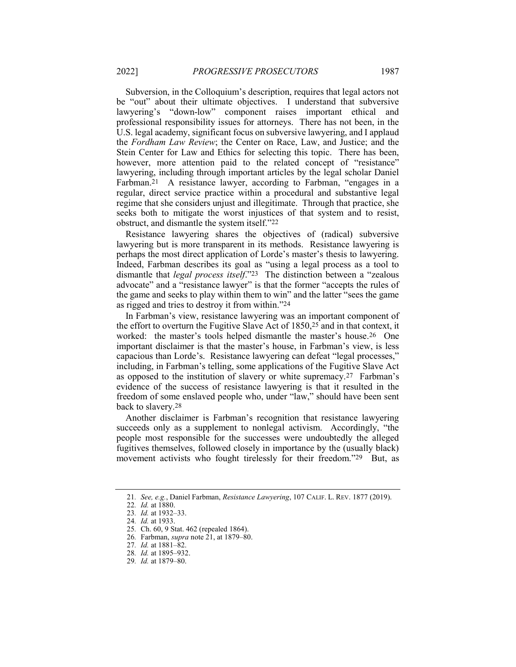Subversion, in the Colloquium's description, requires that legal actors not be "out" about their ultimate objectives. I understand that subversive lawyering's "down-low" component raises important ethical and professional responsibility issues for attorneys. There has not been, in the U.S. legal academy, significant focus on subversive lawyering, and I applaud the Fordham Law Review; the Center on Race, Law, and Justice; and the Stein Center for Law and Ethics for selecting this topic. There has been, however, more attention paid to the related concept of "resistance" lawyering, including through important articles by the legal scholar Daniel Farbman.21 A resistance lawyer, according to Farbman, "engages in a regular, direct service practice within a procedural and substantive legal regime that she considers unjust and illegitimate. Through that practice, she seeks both to mitigate the worst injustices of that system and to resist, obstruct, and dismantle the system itself."22

Resistance lawyering shares the objectives of (radical) subversive lawyering but is more transparent in its methods. Resistance lawyering is perhaps the most direct application of Lorde's master's thesis to lawyering. Indeed, Farbman describes its goal as "using a legal process as a tool to dismantle that legal process itself."23 The distinction between a "zealous advocate" and a "resistance lawyer" is that the former "accepts the rules of the game and seeks to play within them to win" and the latter "sees the game as rigged and tries to destroy it from within."24

In Farbman's view, resistance lawyering was an important component of the effort to overturn the Fugitive Slave Act of 1850,25 and in that context, it worked: the master's tools helped dismantle the master's house.26 One important disclaimer is that the master's house, in Farbman's view, is less capacious than Lorde's. Resistance lawyering can defeat "legal processes," including, in Farbman's telling, some applications of the Fugitive Slave Act as opposed to the institution of slavery or white supremacy.27 Farbman's evidence of the success of resistance lawyering is that it resulted in the freedom of some enslaved people who, under "law," should have been sent back to slavery.28

Another disclaimer is Farbman's recognition that resistance lawyering succeeds only as a supplement to nonlegal activism. Accordingly, "the people most responsible for the successes were undoubtedly the alleged fugitives themselves, followed closely in importance by the (usually black) movement activists who fought tirelessly for their freedom."29 But, as

<sup>21</sup>. See, e.g., Daniel Farbman, Resistance Lawyering, 107 CALIF. L. REV. 1877 (2019).

<sup>22</sup>. Id. at 1880.

<sup>23</sup>. Id. at 1932–33.

<sup>24</sup>. Id. at 1933.

<sup>25</sup>. Ch. 60, 9 Stat. 462 (repealed 1864).

<sup>26</sup>. Farbman, supra note 21, at 1879–80.

<sup>27</sup>. Id. at 1881–82.

<sup>28</sup>. Id. at 1895–932.

<sup>29</sup>. Id. at 1879–80.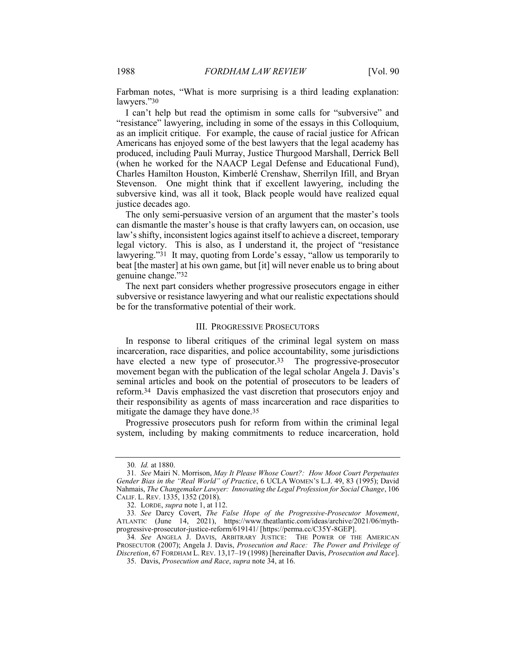Farbman notes, "What is more surprising is a third leading explanation: lawyers."30

I can't help but read the optimism in some calls for "subversive" and "resistance" lawyering, including in some of the essays in this Colloquium, as an implicit critique. For example, the cause of racial justice for African Americans has enjoyed some of the best lawyers that the legal academy has produced, including Pauli Murray, Justice Thurgood Marshall, Derrick Bell (when he worked for the NAACP Legal Defense and Educational Fund), Charles Hamilton Houston, Kimberlé Crenshaw, Sherrilyn Ifill, and Bryan Stevenson. One might think that if excellent lawyering, including the subversive kind, was all it took, Black people would have realized equal justice decades ago.

The only semi-persuasive version of an argument that the master's tools can dismantle the master's house is that crafty lawyers can, on occasion, use law's shifty, inconsistent logics against itself to achieve a discreet, temporary legal victory. This is also, as I understand it, the project of "resistance lawyering."31 It may, quoting from Lorde's essay, "allow us temporarily to beat [the master] at his own game, but [it] will never enable us to bring about genuine change."32

The next part considers whether progressive prosecutors engage in either subversive or resistance lawyering and what our realistic expectations should be for the transformative potential of their work.

#### III. PROGRESSIVE PROSECUTORS

In response to liberal critiques of the criminal legal system on mass incarceration, race disparities, and police accountability, some jurisdictions have elected a new type of prosecutor.<sup>33</sup> The progressive-prosecutor movement began with the publication of the legal scholar Angela J. Davis's seminal articles and book on the potential of prosecutors to be leaders of reform.34 Davis emphasized the vast discretion that prosecutors enjoy and their responsibility as agents of mass incarceration and race disparities to mitigate the damage they have done.35

Progressive prosecutors push for reform from within the criminal legal system, including by making commitments to reduce incarceration, hold

<sup>30</sup>. Id. at 1880.

<sup>31</sup>. See Mairi N. Morrison, May It Please Whose Court?: How Moot Court Perpetuates Gender Bias in the "Real World" of Practice, 6 UCLA WOMEN'S L.J. 49, 83 (1995); David Nahmais, The Changemaker Lawyer: Innovating the Legal Profession for Social Change, 106 CALIF. L. REV. 1335, 1352 (2018).

<sup>32.</sup> LORDE, *supra* note 1, at 112.

<sup>33</sup>. See Darcy Covert, The False Hope of the Progressive-Prosecutor Movement, ATLANTIC (June 14, 2021), https://www.theatlantic.com/ideas/archive/2021/06/mythprogressive-prosecutor-justice-reform/619141/ [https://perma.cc/C35Y-8GEP].

<sup>34.</sup> See ANGELA J. DAVIS, ARBITRARY JUSTICE: THE POWER OF THE AMERICAN PROSECUTOR (2007); Angela J. Davis, Prosecution and Race: The Power and Privilege of Discretion, 67 FORDHAM L. REV. 13,17–19 (1998) [hereinafter Davis, Prosecution and Race].

 <sup>35.</sup> Davis, Prosecution and Race, supra note 34, at 16.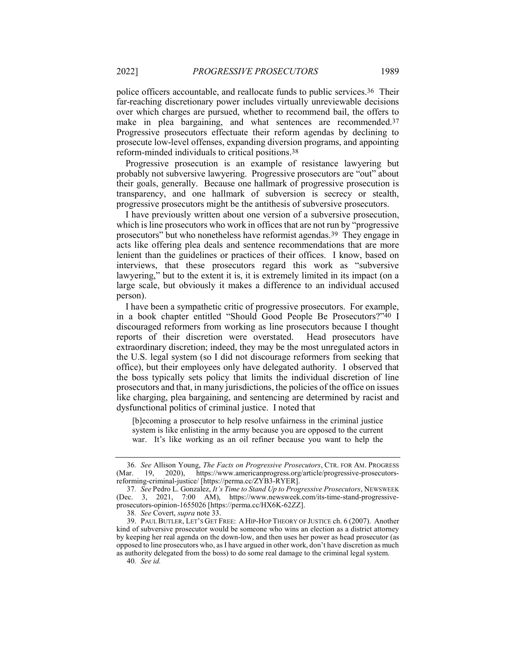police officers accountable, and reallocate funds to public services.36 Their far-reaching discretionary power includes virtually unreviewable decisions over which charges are pursued, whether to recommend bail, the offers to make in plea bargaining, and what sentences are recommended.<sup>37</sup> Progressive prosecutors effectuate their reform agendas by declining to prosecute low-level offenses, expanding diversion programs, and appointing reform-minded individuals to critical positions.38

Progressive prosecution is an example of resistance lawyering but probably not subversive lawyering. Progressive prosecutors are "out" about their goals, generally. Because one hallmark of progressive prosecution is transparency, and one hallmark of subversion is secrecy or stealth, progressive prosecutors might be the antithesis of subversive prosecutors.

I have previously written about one version of a subversive prosecution, which is line prosecutors who work in offices that are not run by "progressive prosecutors" but who nonetheless have reformist agendas.39 They engage in acts like offering plea deals and sentence recommendations that are more lenient than the guidelines or practices of their offices. I know, based on interviews, that these prosecutors regard this work as "subversive lawyering," but to the extent it is, it is extremely limited in its impact (on a large scale, but obviously it makes a difference to an individual accused person).

I have been a sympathetic critic of progressive prosecutors. For example, in a book chapter entitled "Should Good People Be Prosecutors?"40 I discouraged reformers from working as line prosecutors because I thought reports of their discretion were overstated. Head prosecutors have extraordinary discretion; indeed, they may be the most unregulated actors in the U.S. legal system (so I did not discourage reformers from seeking that office), but their employees only have delegated authority. I observed that the boss typically sets policy that limits the individual discretion of line prosecutors and that, in many jurisdictions, the policies of the office on issues like charging, plea bargaining, and sentencing are determined by racist and dysfunctional politics of criminal justice. I noted that

[b]ecoming a prosecutor to help resolve unfairness in the criminal justice system is like enlisting in the army because you are opposed to the current war. It's like working as an oil refiner because you want to help the

40. See id.

<sup>36</sup>. See Allison Young, The Facts on Progressive Prosecutors, CTR. FOR AM. PROGRESS (Mar. 19, 2020), https://www.americanprogress.org/article/progressive-prosecutorsreforming-criminal-justice/ [https://perma.cc/ZYB3-RYER].

<sup>37.</sup> See Pedro L. Gonzalez, It's Time to Stand Up to Progressive Prosecutors, NEWSWEEK (Dec. 3, 2021, 7:00 AM), https://www.newsweek.com/its-time-stand-progressiveprosecutors-opinion-1655026 [https://perma.cc/HX6K-62ZZ].

<sup>38</sup>. See Covert, supra note 33.

 <sup>39.</sup> PAUL BUTLER, LET'S GET FREE: A HIP-HOP THEORY OF JUSTICE ch. 6 (2007). Another kind of subversive prosecutor would be someone who wins an election as a district attorney by keeping her real agenda on the down-low, and then uses her power as head prosecutor (as opposed to line prosecutors who, as I have argued in other work, don't have discretion as much as authority delegated from the boss) to do some real damage to the criminal legal system.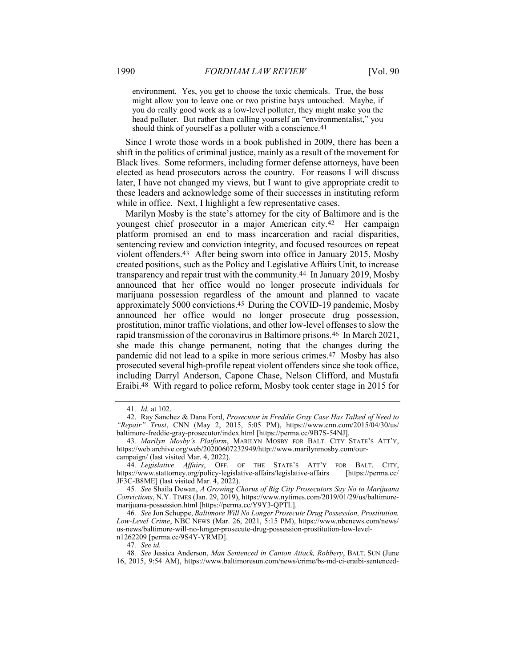environment. Yes, you get to choose the toxic chemicals. True, the boss might allow you to leave one or two pristine bays untouched. Maybe, if you do really good work as a low-level polluter, they might make you the head polluter. But rather than calling yourself an "environmentalist," you should think of yourself as a polluter with a conscience.<sup>41</sup>

Since I wrote those words in a book published in 2009, there has been a shift in the politics of criminal justice, mainly as a result of the movement for Black lives. Some reformers, including former defense attorneys, have been elected as head prosecutors across the country. For reasons I will discuss later, I have not changed my views, but I want to give appropriate credit to these leaders and acknowledge some of their successes in instituting reform while in office. Next, I highlight a few representative cases.

Marilyn Mosby is the state's attorney for the city of Baltimore and is the youngest chief prosecutor in a major American city.42 Her campaign platform promised an end to mass incarceration and racial disparities, sentencing review and conviction integrity, and focused resources on repeat violent offenders.43 After being sworn into office in January 2015, Mosby created positions, such as the Policy and Legislative Affairs Unit, to increase transparency and repair trust with the community.44 In January 2019, Mosby announced that her office would no longer prosecute individuals for marijuana possession regardless of the amount and planned to vacate approximately 5000 convictions.45 During the COVID-19 pandemic, Mosby announced her office would no longer prosecute drug possession, prostitution, minor traffic violations, and other low-level offenses to slow the rapid transmission of the coronavirus in Baltimore prisons.46 In March 2021, she made this change permanent, noting that the changes during the pandemic did not lead to a spike in more serious crimes.47 Mosby has also prosecuted several high-profile repeat violent offenders since she took office, including Darryl Anderson, Capone Chase, Nelson Clifford, and Mustafa Eraibi.48 With regard to police reform, Mosby took center stage in 2015 for

44. Legislative Affairs, OFF. OF THE STATE'S ATT'Y FOR BALT. CITY, https://www.stattorney.org/policy-legislative-affairs/legislative-affairs [https://perma.cc/ JF3C-B8ME] (last visited Mar. 4, 2022).

45. See Shaila Dewan, A Growing Chorus of Big City Prosecutors Say No to Marijuana Convictions, N.Y. TIMES (Jan. 29, 2019), https://www.nytimes.com/2019/01/29/us/baltimoremarijuana-possession.html [https://perma.cc/Y9Y3-QPTL].

46. See Jon Schuppe, Baltimore Will No Longer Prosecute Drug Possession, Prostitution, Low-Level Crime, NBC NEWS (Mar. 26, 2021, 5:15 PM), https://www.nbcnews.com/news/ us-news/baltimore-will-no-longer-prosecute-drug-possession-prostitution-low-leveln1262209 [perma.cc/9S4Y-YRMD].

<sup>41</sup>. Id. at 102.

 <sup>42.</sup> Ray Sanchez & Dana Ford, Prosecutor in Freddie Gray Case Has Talked of Need to "Repair" Trust, CNN (May 2, 2015, 5:05 PM), https://www.cnn.com/2015/04/30/us/ baltimore-freddie-gray-prosecutor/index.html [https://perma.cc/9B7S-54NJ].

<sup>43.</sup> Marilyn Mosby's Platform, MARILYN MOSBY FOR BALT. CITY STATE'S ATT'Y, https://web.archive.org/web/20200607232949/http://www.marilynmosby.com/ourcampaign/ (last visited Mar. 4, 2022).

<sup>47</sup>. See id.

<sup>48.</sup> See Jessica Anderson, Man Sentenced in Canton Attack, Robbery, BALT. SUN (June 16, 2015, 9:54 AM), https://www.baltimoresun.com/news/crime/bs-md-ci-eraibi-sentenced-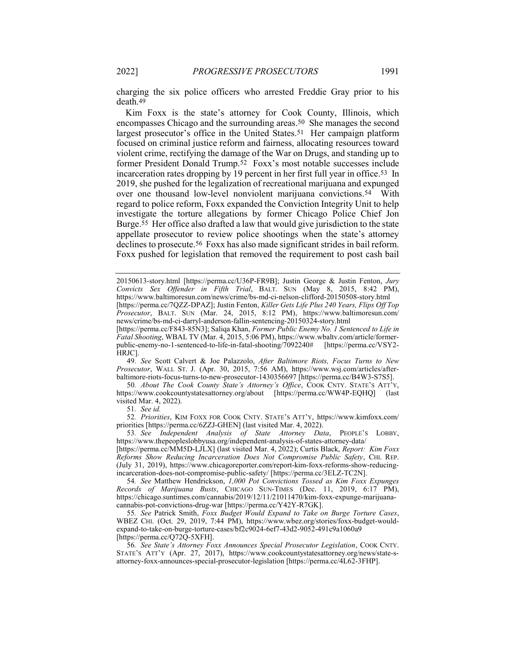charging the six police officers who arrested Freddie Gray prior to his death.49

Kim Foxx is the state's attorney for Cook County, Illinois, which encompasses Chicago and the surrounding areas.50 She manages the second largest prosecutor's office in the United States.51 Her campaign platform focused on criminal justice reform and fairness, allocating resources toward violent crime, rectifying the damage of the War on Drugs, and standing up to former President Donald Trump.52 Foxx's most notable successes include incarceration rates dropping by 19 percent in her first full year in office.53 In 2019, she pushed for the legalization of recreational marijuana and expunged over one thousand low-level nonviolent marijuana convictions.54 With regard to police reform, Foxx expanded the Conviction Integrity Unit to help investigate the torture allegations by former Chicago Police Chief Jon Burge.55 Her office also drafted a law that would give jurisdiction to the state appellate prosecutor to review police shootings when the state's attorney declines to prosecute.56 Foxx has also made significant strides in bail reform. Foxx pushed for legislation that removed the requirement to post cash bail

49. See Scott Calvert & Joe Palazzolo, After Baltimore Riots, Focus Turns to New Prosecutor, WALL ST. J. (Apr. 30, 2015, 7:56 AM), https://www.wsj.com/articles/afterbaltimore-riots-focus-turns-to-new-prosecutor-1430356697 [https://perma.cc/B4W3-S7S5].

50. About The Cook County State's Attorney's Office, COOK CNTY. STATE'S ATT'Y, https://www.cookcountystatesattorney.org/about [https://perma.cc/WW4P-EQHQ] (last visited Mar. 4, 2022).

51. See id.

52. Priorities, KIM FOXX FOR COOK CNTY. STATE'S ATT'Y, https://www.kimfoxx.com/ priorities [https://perma.cc/6ZZJ-GHEN] (last visited Mar. 4, 2022).

53. See Independent Analysis of State Attorney Data, PEOPLE'S LOBBY, https://www.thepeopleslobbyusa.org/independent-analysis-of-states-attorney-data/

[https://perma.cc/MM5D-LJLX] (last visited Mar. 4, 2022); Curtis Black, Report: Kim Foxx Reforms Show Reducing Incarceration Does Not Compromise Public Safety, CHI. REP. (July 31, 2019), https://www.chicagoreporter.com/report-kim-foxx-reforms-show-reducingincarceration-does-not-compromise-public-safety/ [https://perma.cc/3ELZ-TC2N].

54. See Matthew Hendrickson, 1,000 Pot Convictions Tossed as Kim Foxx Expunges Records of Marijuana Busts, CHICAGO SUN-TIMES (Dec. 11, 2019, 6:17 PM), https://chicago.suntimes.com/cannabis/2019/12/11/21011470/kim-foxx-expunge-marijuanacannabis-pot-convictions-drug-war [https://perma.cc/Y42Y-R7GK].

55. See Patrick Smith, Foxx Budget Would Expand to Take on Burge Torture Cases, WBEZ CHI. (Oct. 29, 2019, 7:44 PM), https://www.wbez.org/stories/foxx-budget-wouldexpand-to-take-on-burge-torture-cases/bf2c9024-6ef7-43d2-9052-491c9a1060a9 [https://perma.cc/Q72Q-5XFH].

56. See State's Attorney Foxx Announces Special Prosecutor Legislation, COOK CNTY. STATE'S ATT'Y (Apr. 27, 2017), https://www.cookcountystatesattorney.org/news/state-sattorney-foxx-announces-special-prosecutor-legislation [https://perma.cc/4L62-3FHP].

<sup>20150613-</sup>story.html [https://perma.cc/U36P-FR9B]; Justin George & Justin Fenton, Jury Convicts Sex Offender in Fifth Trial, BALT. SUN (May 8, 2015, 8:42 PM), https://www.baltimoresun.com/news/crime/bs-md-ci-nelson-clifford-20150508-story.html [https://perma.cc/7QZZ-DPAZ]; Justin Fenton, Killer Gets Life Plus 240 Years, Flips Off Top Prosecutor, BALT. SUN (Mar. 24, 2015, 8:12 PM), https://www.baltimoresun.com/ news/crime/bs-md-ci-darryl-anderson-fallin-sentencing-20150324-story.html

<sup>[</sup>https://perma.cc/F843-85N3]; Saliqa Khan, Former Public Enemy No. 1 Sentenced to Life in Fatal Shooting, WBAL TV (Mar. 4, 2015, 5:06 PM), https://www.wbaltv.com/article/formerpublic-enemy-no-1-sentenced-to-life-in-fatal-shooting/7092240# [https://perma.cc/VSY2- HRJC].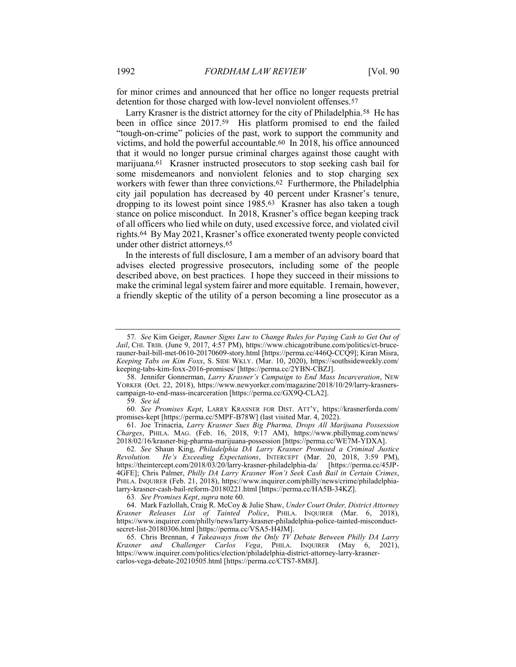for minor crimes and announced that her office no longer requests pretrial detention for those charged with low-level nonviolent offenses.57

Larry Krasner is the district attorney for the city of Philadelphia.58 He has been in office since 2017.59 His platform promised to end the failed "tough-on-crime" policies of the past, work to support the community and victims, and hold the powerful accountable.60 In 2018, his office announced that it would no longer pursue criminal charges against those caught with marijuana.61 Krasner instructed prosecutors to stop seeking cash bail for some misdemeanors and nonviolent felonies and to stop charging sex workers with fewer than three convictions.62 Furthermore, the Philadelphia city jail population has decreased by 40 percent under Krasner's tenure, dropping to its lowest point since 1985.63 Krasner has also taken a tough stance on police misconduct. In 2018, Krasner's office began keeping track of all officers who lied while on duty, used excessive force, and violated civil rights.64 By May 2021, Krasner's office exonerated twenty people convicted under other district attorneys.65

In the interests of full disclosure, I am a member of an advisory board that advises elected progressive prosecutors, including some of the people described above, on best practices. I hope they succeed in their missions to make the criminal legal system fairer and more equitable. I remain, however, a friendly skeptic of the utility of a person becoming a line prosecutor as a

58. Jennifer Gonnerman, Larry Krasner's Campaign to End Mass Incarceration, New YORKER (Oct. 22, 2018), https://www.newyorker.com/magazine/2018/10/29/larry-krasnerscampaign-to-end-mass-incarceration [https://perma.cc/GX9Q-CLA2].

60. See Promises Kept, LARRY KRASNER FOR DIST. ATT'Y, https://krasnerforda.com/ promises-kept [https://perma.cc/5MPF-B78W] (last visited Mar. 4, 2022).

 61. Joe Trinacria, Larry Krasner Sues Big Pharma, Drops All Marijuana Possession Charges, PHILA. MAG. (Feb. 16, 2018, 9:17 AM), https://www.phillymag.com/news/ 2018/02/16/krasner-big-pharma-marijuana-possession [https://perma.cc/WE7M-YDXA].

62. See Shaun King, Philadelphia DA Larry Krasner Promised a Criminal Justice Revolution. He's Exceeding Expectations, INTERCEPT (Mar. 20, 2018, 3:59 PM), https://theintercept.com/2018/03/20/larry-krasner-philadelphia-da/ [https://perma.cc/45JP-4GFE]; Chris Palmer, Philly DA Larry Krasner Won't Seek Cash Bail in Certain Crimes, PHILA. INQUIRER (Feb. 21, 2018), https://www.inquirer.com/philly/news/crime/philadelphialarry-krasner-cash-bail-reform-20180221.html [https://perma.cc/HA5B-34KZ].

63. See Promises Kept, supra note 60.

 64. Mark Fazlollah, Craig R. McCoy & Julie Shaw, Under Court Order, District Attorney Krasner Releases List of Tainted Police, PHILA. INQUIRER (Mar. 6, 2018), https://www.inquirer.com/philly/news/larry-krasner-philadelphia-police-tainted-misconductsecret-list-20180306.html [https://perma.cc/VSA5-H4JM].

65. Chris Brennan, 4 Takeaways from the Only TV Debate Between Philly DA Larry Krasner and Challenger Carlos Vega, PHILA. INQUIRER (May 6, 2021), https://www.inquirer.com/politics/election/philadelphia-district-attorney-larry-krasnercarlos-vega-debate-20210505.html [https://perma.cc/CTS7-8M8J].

<sup>57</sup>. See Kim Geiger, Rauner Signs Law to Change Rules for Paying Cash to Get Out of Jail, CHI. TRIB. (June 9, 2017, 4:57 PM), https://www.chicagotribune.com/politics/ct-brucerauner-bail-bill-met-0610-20170609-story.html [https://perma.cc/446Q-CCQ9]; Kiran Misra, Keeping Tabs on Kim Foxx, S. SIDE WKLY. (Mar. 10, 2020), https://southsideweekly.com/ keeping-tabs-kim-foxx-2016-promises/ [https://perma.cc/2YBN-CBZJ].

<sup>59</sup>. See id.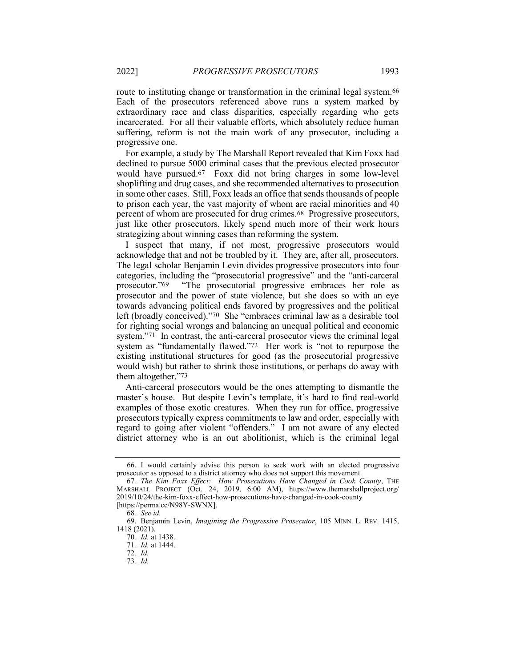route to instituting change or transformation in the criminal legal system.<sup>66</sup> Each of the prosecutors referenced above runs a system marked by extraordinary race and class disparities, especially regarding who gets incarcerated. For all their valuable efforts, which absolutely reduce human suffering, reform is not the main work of any prosecutor, including a progressive one.

For example, a study by The Marshall Report revealed that Kim Foxx had declined to pursue 5000 criminal cases that the previous elected prosecutor would have pursued.67 Foxx did not bring charges in some low-level shoplifting and drug cases, and she recommended alternatives to prosecution in some other cases. Still, Foxx leads an office that sends thousands of people to prison each year, the vast majority of whom are racial minorities and 40 percent of whom are prosecuted for drug crimes.68 Progressive prosecutors, just like other prosecutors, likely spend much more of their work hours strategizing about winning cases than reforming the system.

I suspect that many, if not most, progressive prosecutors would acknowledge that and not be troubled by it. They are, after all, prosecutors. The legal scholar Benjamin Levin divides progressive prosecutors into four categories, including the "prosecutorial progressive" and the "anti-carceral prosecutor."69 "The prosecutorial progressive embraces her role as prosecutor and the power of state violence, but she does so with an eye towards advancing political ends favored by progressives and the political left (broadly conceived)."70 She "embraces criminal law as a desirable tool for righting social wrongs and balancing an unequal political and economic system."71 In contrast, the anti-carceral prosecutor views the criminal legal system as "fundamentally flawed."72 Her work is "not to repurpose the existing institutional structures for good (as the prosecutorial progressive would wish) but rather to shrink those institutions, or perhaps do away with them altogether."73

Anti-carceral prosecutors would be the ones attempting to dismantle the master's house. But despite Levin's template, it's hard to find real-world examples of those exotic creatures. When they run for office, progressive prosecutors typically express commitments to law and order, especially with regard to going after violent "offenders." I am not aware of any elected district attorney who is an out abolitionist, which is the criminal legal

 <sup>66.</sup> I would certainly advise this person to seek work with an elected progressive prosecutor as opposed to a district attorney who does not support this movement.

<sup>67.</sup> The Kim Foxx Effect: How Prosecutions Have Changed in Cook County, THE MARSHALL PROJECT (Oct. 24, 2019, 6:00 AM), https://www.themarshallproject.org/ 2019/10/24/the-kim-foxx-effect-how-prosecutions-have-changed-in-cook-county [https://perma.cc/N98Y-SWNX].

<sup>68</sup>. See id.

 <sup>69.</sup> Benjamin Levin, Imagining the Progressive Prosecutor, 105 MINN. L. REV. 1415, 1418 (2021).

<sup>70</sup>. Id. at 1438.

<sup>71</sup>. Id. at 1444.

<sup>72</sup>. Id.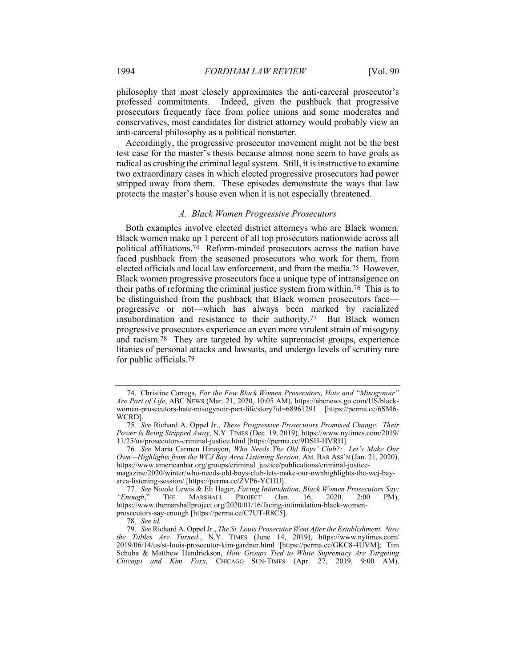philosophy that most closely approximates the anti-carceral prosecutor's professed commitments. Indeed, given the pushback that progressive prosecutors frequently face from police unions and some moderates and conservatives, most candidates for district attorney would probably view an anti-carceral philosophy as a political nonstarter.

Accordingly, the progressive prosecutor movement might not be the best test case for the master's thesis because almost none seem to have goals as radical as crushing the criminal legal system. Still, it is instructive to examine two extraordinary cases in which elected progressive prosecutors had power stripped away from them. These episodes demonstrate the ways that law protects the master's house even when it is not especially threatened.

#### A. Black Women Progressive Prosecutors

Both examples involve elected district attorneys who are Black women. Black women make up 1 percent of all top prosecutors nationwide across all political affiliations.74 Reform-minded prosecutors across the nation have faced pushback from the seasoned prosecutors who work for them, from elected officials and local law enforcement, and from the media.75 However, Black women progressive prosecutors face a unique type of intransigence on their paths of reforming the criminal justice system from within.76 This is to be distinguished from the pushback that Black women prosecutors face progressive or not—which has always been marked by racialized insubordination and resistance to their authority.77 But Black women progressive prosecutors experience an even more virulent strain of misogyny and racism.78 They are targeted by white supremacist groups, experience litanies of personal attacks and lawsuits, and undergo levels of scrutiny rare for public officials.79

 <sup>74.</sup> Christine Carrega, For the Few Black Women Prosecutors, Hate and "Misogynoir" Are Part of Life, ABC NEWS (Mar. 21, 2020, 10:05 AM), https://abcnews.go.com/US/blackwomen-prosecutors-hate-misogynoir-part-life/story?id=68961291 [https://perma.cc/6SM6- WCRD].

<sup>75</sup>. See Richard A. Oppel Jr., These Progressive Prosecutors Promised Change. Their Power Is Being Stripped Away, N.Y. TIMES (Dec. 19, 2019), https://www.nytimes.com/2019/ 11/25/us/prosecutors-criminal-justice.html [https://perma.cc/9DSH-HVRH].

<sup>76</sup>. See Maria Carmen Hinayon, Who Needs The Old Boys' Club?: Let's Make Our Own—Highlights from the WCJ Bay Area Listening Session, AM. BAR ASS'N (Jan. 21, 2020), https://www.americanbar.org/groups/criminal\_justice/publications/criminal-justicemagazine/2020/winter/who-needs-old-boys-club-lets-make-our-ownhighlights-the-wcj-bay-

area-listening-session/ [https://perma.cc/ZVP6-YCHU].

<sup>77</sup>. See Nicole Lewis & Eli Hager, Facing Intimidation, Black Women Prosecutors Say: "Enough," THE MARSHALL PROJECT (Jan. 16, 2020, 2:00 PM), https://www.themarshallproject.org/2020/01/16/facing-intimidation-black-womenprosecutors-say-enough [https://perma.cc/C7UT-R8C5].

<sup>78</sup>. See id.

<sup>79</sup>. See Richard A. Oppel Jr., The St. Louis Prosecutor Went After the Establishment. Now the Tables Are Turned., N.Y. TIMES (June 14, 2019), https://www.nytimes.com/ 2019/06/14/us/st-louis-prosecutor-kim-gardner.html [https://perma.cc/GKC8-4UVM]; Tim Schuba & Matthew Hendrickson, How Groups Tied to White Supremacy Are Targeting Chicago and Kim Foxx, CHICAGO SUN-TIMES (Apr. 27, 2019, 9:00 AM),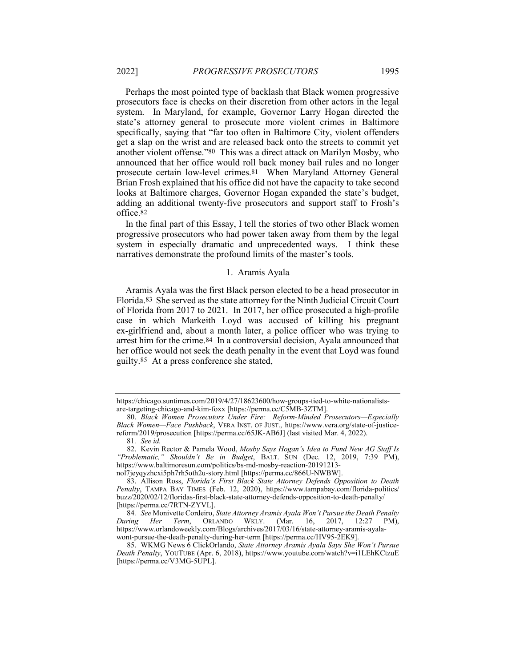Perhaps the most pointed type of backlash that Black women progressive prosecutors face is checks on their discretion from other actors in the legal system. In Maryland, for example, Governor Larry Hogan directed the state's attorney general to prosecute more violent crimes in Baltimore specifically, saying that "far too often in Baltimore City, violent offenders get a slap on the wrist and are released back onto the streets to commit yet another violent offense."80 This was a direct attack on Marilyn Mosby, who announced that her office would roll back money bail rules and no longer prosecute certain low-level crimes.81 When Maryland Attorney General Brian Frosh explained that his office did not have the capacity to take second looks at Baltimore charges, Governor Hogan expanded the state's budget, adding an additional twenty-five prosecutors and support staff to Frosh's office.82

In the final part of this Essay, I tell the stories of two other Black women progressive prosecutors who had power taken away from them by the legal system in especially dramatic and unprecedented ways. I think these narratives demonstrate the profound limits of the master's tools.

#### 1. Aramis Ayala

Aramis Ayala was the first Black person elected to be a head prosecutor in Florida.83 She served as the state attorney for the Ninth Judicial Circuit Court of Florida from 2017 to 2021. In 2017, her office prosecuted a high-profile case in which Markeith Loyd was accused of killing his pregnant ex-girlfriend and, about a month later, a police officer who was trying to arrest him for the crime.84 In a controversial decision, Ayala announced that her office would not seek the death penalty in the event that Loyd was found guilty.85 At a press conference she stated,

https://chicago.suntimes.com/2019/4/27/18623600/how-groups-tied-to-white-nationalistsare-targeting-chicago-and-kim-foxx [https://perma.cc/C5MB-3ZTM].

 <sup>80.</sup> Black Women Prosecutors Under Fire: Reform-Minded Prosecutors—Especially Black Women—Face Pushback, VERA INST. OF JUST., https://www.vera.org/state-of-justicereform/2019/prosecution [https://perma.cc/65JK-AB6J] (last visited Mar. 4, 2022).

<sup>81</sup>. See id.

<sup>82.</sup> Kevin Rector & Pamela Wood, Mosby Says Hogan's Idea to Fund New AG Staff Is "Problematic," Shouldn't Be in Budget, BALT. SUN (Dec. 12, 2019, 7:39 PM), https://www.baltimoresun.com/politics/bs-md-mosby-reaction-20191213 nol7jeyqyzhcxi5ph7rh5oth2u-story.html [https://perma.cc/866U-NWBW].

 <sup>83.</sup> Allison Ross, Florida's First Black State Attorney Defends Opposition to Death Penalty, TAMPA BAY TIMES (Feb. 12, 2020), https://www.tampabay.com/florida-politics/ buzz/2020/02/12/floridas-first-black-state-attorney-defends-opposition-to-death-penalty/ [https://perma.cc/7RTN-ZYVL].

<sup>84</sup>. See Monivette Cordeiro, State Attorney Aramis Ayala Won't Pursue the Death Penalty During Her Term, ORLANDO WKLY. (Mar. 16, 2017, 12:27 PM), https://www.orlandoweekly.com/Blogs/archives/2017/03/16/state-attorney-aramis-ayalawont-pursue-the-death-penalty-during-her-term [https://perma.cc/HV95-2EK9].

 <sup>85.</sup> WKMG News 6 ClickOrlando, State Attorney Aramis Ayala Says She Won't Pursue Death Penalty, YOUTUBE (Apr. 6, 2018), https://www.youtube.com/watch?v=i1LEhKCtzuE [https://perma.cc/V3MG-5UPL].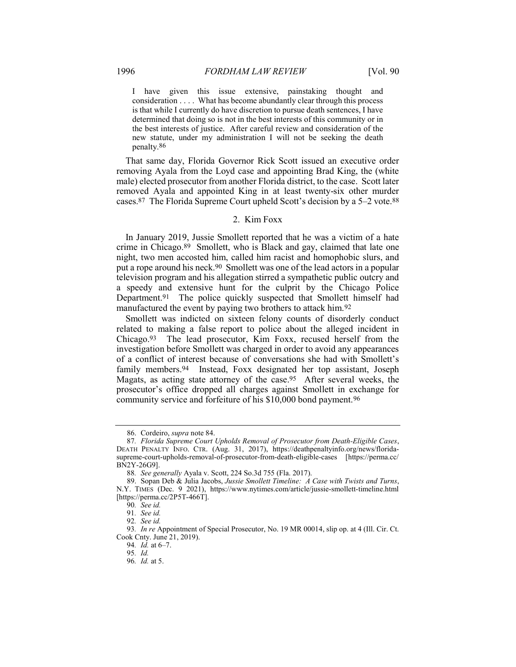I have given this issue extensive, painstaking thought and consideration . . . . What has become abundantly clear through this process is that while I currently do have discretion to pursue death sentences, I have determined that doing so is not in the best interests of this community or in the best interests of justice. After careful review and consideration of the new statute, under my administration I will not be seeking the death penalty.86

That same day, Florida Governor Rick Scott issued an executive order removing Ayala from the Loyd case and appointing Brad King, the (white male) elected prosecutor from another Florida district, to the case. Scott later removed Ayala and appointed King in at least twenty-six other murder cases.87 The Florida Supreme Court upheld Scott's decision by a 5–2 vote.88

#### 2. Kim Foxx

In January 2019, Jussie Smollett reported that he was a victim of a hate crime in Chicago.89 Smollett, who is Black and gay, claimed that late one night, two men accosted him, called him racist and homophobic slurs, and put a rope around his neck.90 Smollett was one of the lead actors in a popular television program and his allegation stirred a sympathetic public outcry and a speedy and extensive hunt for the culprit by the Chicago Police Department.91 The police quickly suspected that Smollett himself had manufactured the event by paying two brothers to attack him.92

Smollett was indicted on sixteen felony counts of disorderly conduct related to making a false report to police about the alleged incident in Chicago.93 The lead prosecutor, Kim Foxx, recused herself from the investigation before Smollett was charged in order to avoid any appearances of a conflict of interest because of conversations she had with Smollett's family members.94 Instead, Foxx designated her top assistant, Joseph Magats, as acting state attorney of the case.95 After several weeks, the prosecutor's office dropped all charges against Smollett in exchange for community service and forfeiture of his \$10,000 bond payment.96

 <sup>86.</sup> Cordeiro, supra note 84.

<sup>87</sup>. Florida Supreme Court Upholds Removal of Prosecutor from Death-Eligible Cases, DEATH PENALTY INFO. CTR. (Aug. 31, 2017), https://deathpenaltyinfo.org/news/floridasupreme-court-upholds-removal-of-prosecutor-from-death-eligible-cases [https://perma.cc/ BN2Y-26G9].

<sup>88</sup>. See generally Ayala v. Scott, 224 So.3d 755 (Fla. 2017).

<sup>89.</sup> Sopan Deb & Julia Jacobs, Jussie Smollett Timeline: A Case with Twists and Turns, N.Y. TIMES (Dec. 9 2021), https://www.nytimes.com/article/jussie-smollett-timeline.html [https://perma.cc/2P5T-466T].

<sup>90</sup>. See id.

<sup>91</sup>. See id.

<sup>92</sup>. See id.

<sup>93</sup>. In re Appointment of Special Prosecutor, No. 19 MR 00014, slip op. at 4 (Ill. Cir. Ct. Cook Cnty. June 21, 2019).

<sup>94</sup>. Id. at 6–7.

<sup>95</sup>. Id.

<sup>96</sup>. Id. at 5.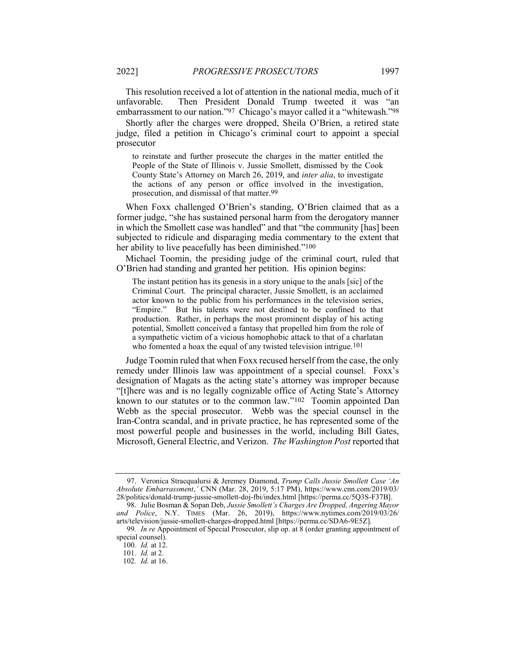This resolution received a lot of attention in the national media, much of it unfavorable. Then President Donald Trump tweeted it was "an embarrassment to our nation."97 Chicago's mayor called it a "whitewash."98

Shortly after the charges were dropped, Sheila O'Brien, a retired state judge, filed a petition in Chicago's criminal court to appoint a special prosecutor

to reinstate and further prosecute the charges in the matter entitled the People of the State of Illinois v. Jussie Smollett, dismissed by the Cook County State's Attorney on March 26, 2019, and inter alia, to investigate the actions of any person or office involved in the investigation, prosecution, and dismissal of that matter.99

When Foxx challenged O'Brien's standing, O'Brien claimed that as a former judge, "she has sustained personal harm from the derogatory manner in which the Smollett case was handled" and that "the community [has] been subjected to ridicule and disparaging media commentary to the extent that her ability to live peacefully has been diminished."<sup>100</sup>

Michael Toomin, the presiding judge of the criminal court, ruled that O'Brien had standing and granted her petition. His opinion begins:

The instant petition has its genesis in a story unique to the anals [sic] of the Criminal Court. The principal character, Jussie Smollett, is an acclaimed actor known to the public from his performances in the television series, "Empire." But his talents were not destined to be confined to that production. Rather, in perhaps the most prominent display of his acting potential, Smollett conceived a fantasy that propelled him from the role of a sympathetic victim of a vicious homophobic attack to that of a charlatan who fomented a hoax the equal of any twisted television intrigue.<sup>101</sup>

Judge Toomin ruled that when Foxx recused herself from the case, the only remedy under Illinois law was appointment of a special counsel. Foxx's designation of Magats as the acting state's attorney was improper because "[t]here was and is no legally cognizable office of Acting State's Attorney known to our statutes or to the common law."102 Toomin appointed Dan Webb as the special prosecutor. Webb was the special counsel in the Iran-Contra scandal, and in private practice, he has represented some of the most powerful people and businesses in the world, including Bill Gates, Microsoft, General Electric, and Verizon. The Washington Post reported that

<sup>97.</sup> Veronica Stracqualursi & Jeremey Diamond, Trump Calls Jussie Smollett Case 'An Absolute Embarrassment,' CNN (Mar. 28, 2019, 5:17 PM), https://www.cnn.com/2019/03/ 28/politics/donald-trump-jussie-smollett-doj-fbi/index.html [https://perma.cc/5Q3S-F37B].

<sup>98.</sup> Julie Bosman & Sopan Deb, Jussie Smollett's Charges Are Dropped, Angering Mayor and Police, N.Y. TIMES (Mar. 26, 2019), https://www.nytimes.com/2019/03/26/ arts/television/jussie-smollett-charges-dropped.html [https://perma.cc/SDA6-9E5Z].

<sup>99.</sup> In re Appointment of Special Prosecutor, slip op. at 8 (order granting appointment of special counsel).

<sup>100</sup>. Id. at 12.

<sup>101</sup>. Id. at 2.

<sup>102</sup>. Id. at 16.